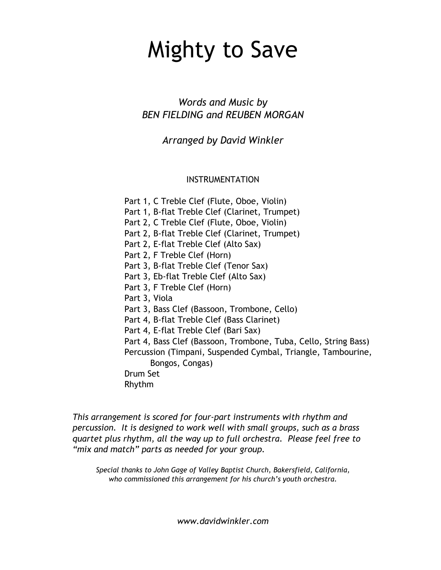## Mighty to Save

*Words and Music by BEN FIELDING and REUBEN MORGAN*

*Arranged by David Winkler*

INSTRUMENTATION

Part 1, C Treble Clef (Flute, Oboe, Violin)

Part 1, B-flat Treble Clef (Clarinet, Trumpet)

Part 2, C Treble Clef (Flute, Oboe, Violin)

Part 2, B-flat Treble Clef (Clarinet, Trumpet)

Part 2, E-flat Treble Clef (Alto Sax)

Part 2, F Treble Clef (Horn)

Part 3, B-flat Treble Clef (Tenor Sax)

Part 3, Eb-flat Treble Clef (Alto Sax)

Part 3, F Treble Clef (Horn)

Part 3, Viola

Part 3, Bass Clef (Bassoon, Trombone, Cello)

Part 4, B-flat Treble Clef (Bass Clarinet)

Part 4, E-flat Treble Clef (Bari Sax)

Part 4, Bass Clef (Bassoon, Trombone, Tuba, Cello, String Bass) Percussion (Timpani, Suspended Cymbal, Triangle, Tambourine, Bongos, Congas)

Drum Set

Rhythm

*This arrangement is scored for four-part instruments with rhythm and percussion. It is designed to work well with small groups, such as a brass quartet plus rhythm, all the way up to full orchestra. Please feel free to "mix and match" parts as needed for your group.*

*Special thanks to John Gage of Valley Baptist Church, Bakersfield, California, who commissioned this arrangement for his church's youth orchestra.*

*www.davidwinkler.com*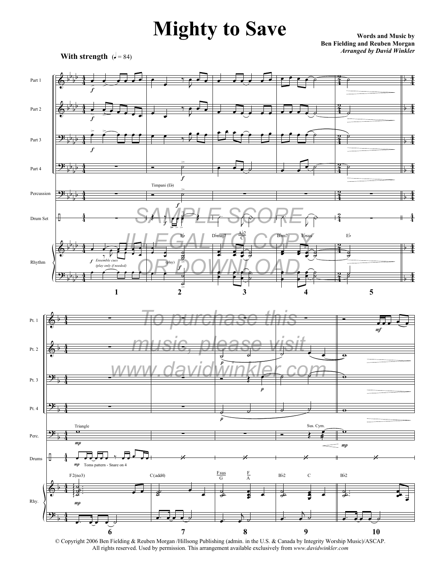## **Mighty to Save**

**Words and Music by Ben Fielding and Reuben Morgan** *Arranged by David Winkler*



b



All rights reserved. Used by permission. This arrangement available exclusively from *www.davidwinkler.com*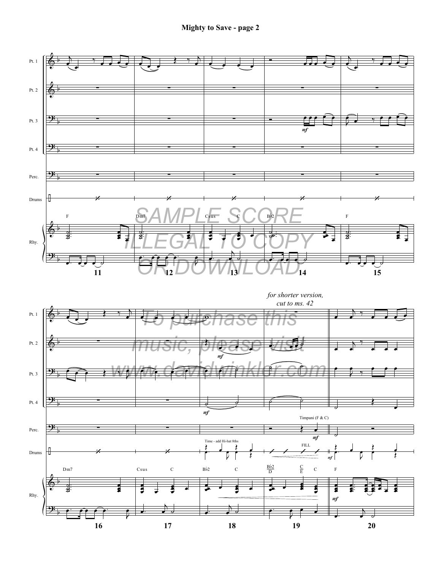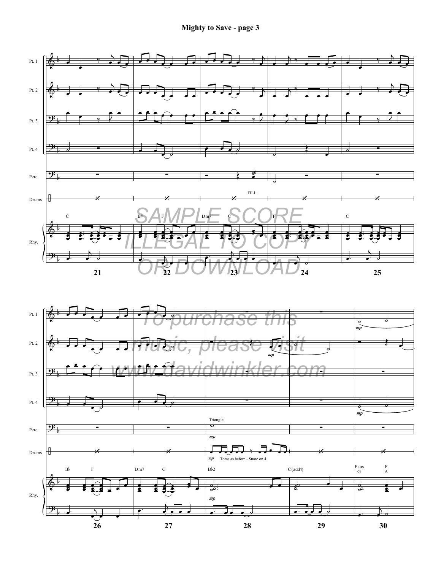**Mighty to Save - page 3**



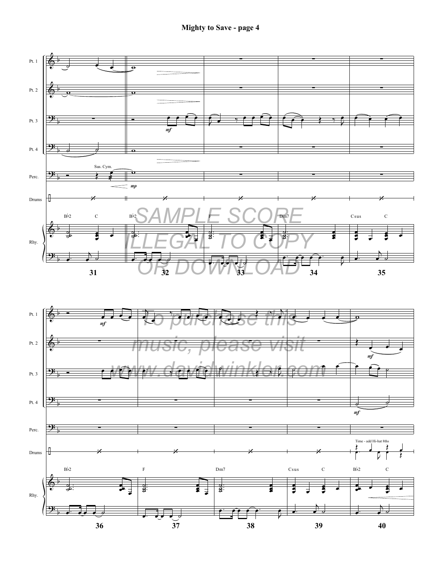

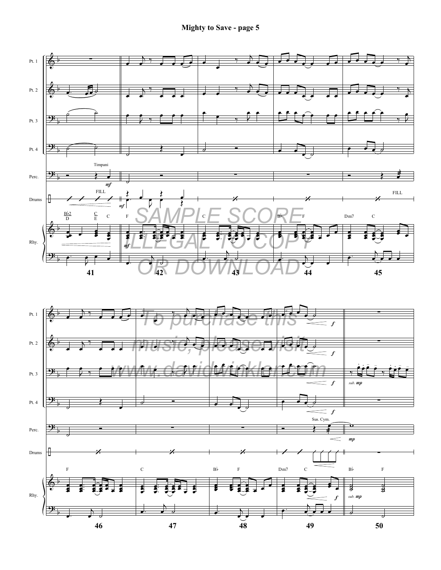

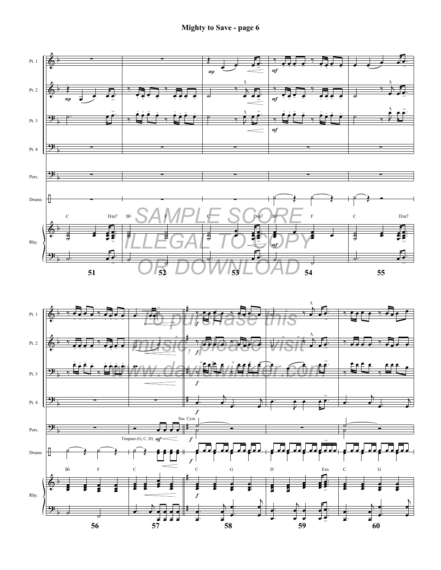

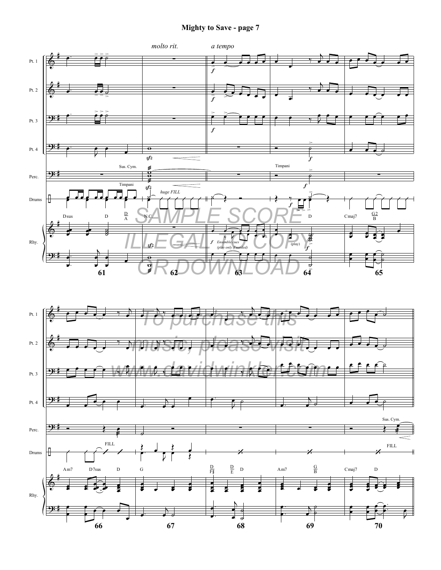